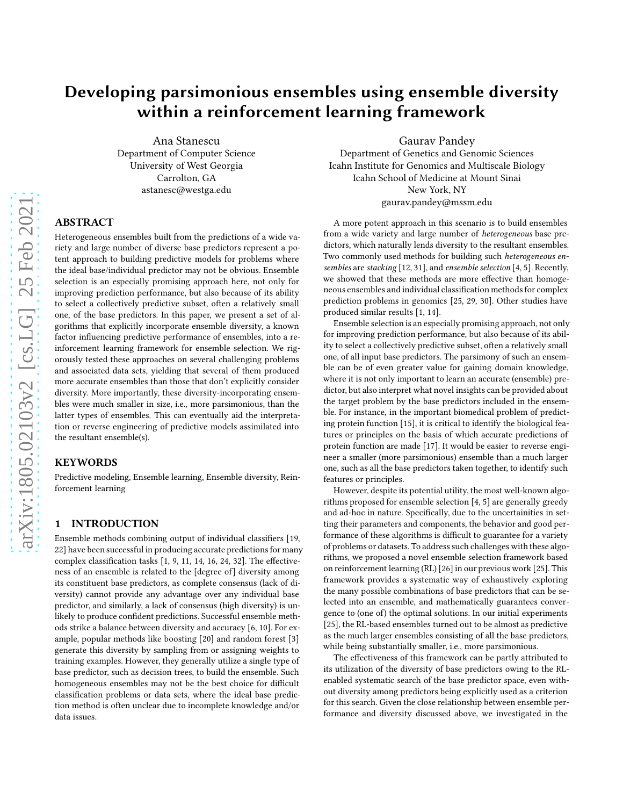# Developing parsimonious ensembles using ensemble diversity within a reinforcement learning framework

Ana Stanescu Department of Computer Science University of West Georgia Carrolton, GA astanesc@westga.edu

# ABSTRACT

Heterogeneous ensembles built from the predictions of a wide variety and large number of diverse base predictors represent a potent approach to building predictive models for problems where the ideal base/individual predictor may not be obvious. Ensemble selection is an especially promising approach here, not only for improving prediction performance, but also because of its ability to select a collectively predictive subset, often a relatively small one, of the base predictors. In this paper, we present a set of algorithms that explicitly incorporate ensemble diversity, a known factor influencing predictive performance of ensembles, into a reinforcement learning framework for ensemble selection. We rigorously tested these approaches on several challenging problems and associated data sets, yielding that several of them produced more accurate ensembles than those that don't explicitly consider diversity. More importantly, these diversity-incorporating ensembles were much smaller in size, i.e., more parsimonious, than the latter types of ensembles. This can eventually aid the interpretation or reverse engineering of predictive models assimilated into the resultant ensemble(s).

#### KEYWORDS

Predictive modeling, Ensemble learning, Ensemble diversity, Reinforcement learning

## 1 INTRODUCTION

Ensemble methods combining output of individual classifiers [\[19](#page-8-0), [22](#page-8-1)] have been successful in producing accurate predictionsfor many complex classification tasks [\[1](#page-8-2), [9,](#page-8-3) [11](#page-8-4), [14](#page-8-5), [16](#page-8-6), [24,](#page-8-7) [32\]](#page-8-8). The effectiveness of an ensemble is related to the [degree of] diversity among its constituent base predictors, as complete consensus (lack of diversity) cannot provide any advantage over any individual base predictor, and similarly, a lack of consensus (high diversity) is unlikely to produce confident predictions. Successful ensemble methods strike a balance between diversity and accuracy [\[6,](#page-8-9) [10\]](#page-8-10). For example, popular methods like boosting [\[20](#page-8-11)] and random forest [\[3\]](#page-8-12) generate this diversity by sampling from or assigning weights to training examples. However, they generally utilize a single type of base predictor, such as decision trees, to build the ensemble. Such homogeneous ensembles may not be the best choice for difficult classification problems or data sets, where the ideal base prediction method is often unclear due to incomplete knowledge and/or data issues.

Gaurav Pandey

Department of Genetics and Genomic Sciences Icahn Institute for Genomics and Multiscale Biology Icahn School of Medicine at Mount Sinai New York, NY gaurav.pandey@mssm.edu

A more potent approach in this scenario is to build ensembles from a wide variety and large number of heterogeneous base predictors, which naturally lends diversity to the resultant ensembles. Two commonly used methods for building such heterogeneous ensembles are stacking [\[12](#page-8-13), [31](#page-8-14)], and ensemble selection [\[4,](#page-8-15) [5\]](#page-8-16). Recently, we showed that these methods are more effective than homogeneous ensembles and individual classification methods for complex prediction problems in genomics [\[25](#page-8-17), [29](#page-8-18), [30](#page-8-19)]. Other studies have produced similar results [\[1,](#page-8-2) [14](#page-8-5)].

Ensemble selection is an especially promising approach, not only for improving prediction performance, but also because of its ability to select a collectively predictive subset, often a relatively small one, of all input base predictors. The parsimony of such an ensemble can be of even greater value for gaining domain knowledge, where it is not only important to learn an accurate (ensemble) predictor, but also interpret what novel insights can be provided about the target problem by the base predictors included in the ensemble. For instance, in the important biomedical problem of predicting protein function [\[15\]](#page-8-20), it is critical to identify the biological features or principles on the basis of which accurate predictions of protein function are made [\[17](#page-8-21)]. It would be easier to reverse engineer a smaller (more parsimonious) ensemble than a much larger one, such as all the base predictors taken together, to identify such features or principles.

However, despite its potential utility, the most well-known algorithms proposed for ensemble selection [\[4,](#page-8-15) [5\]](#page-8-16) are generally greedy and ad-hoc in nature. Specifically, due to the uncertainities in setting their parameters and components, the behavior and good performance of these algorithms is difficult to guarantee for a variety of problems or datasets. To address such challenges with these algorithms, we proposed a novel ensemble selection framework based on reinforcement learning (RL) [\[26\]](#page-8-22) in our previous work [\[25\]](#page-8-17). This framework provides a systematic way of exhaustively exploring the many possible combinations of base predictors that can be selected into an ensemble, and mathematically guarantees convergence to (one of) the optimal solutions. In our initial experiments [\[25\]](#page-8-17), the RL-based ensembles turned out to be almost as predictive as the much larger ensembles consisting of all the base predictors, while being substantially smaller, i.e., more parsimonious.

The effectiveness of this framework can be partly attributed to its utilization of the diversity of base predictors owing to the RLenabled systematic search of the base predictor space, even without diversity among predictors being explicitly used as a criterion for this search. Given the close relationship between ensemble performance and diversity discussed above, we investigated in the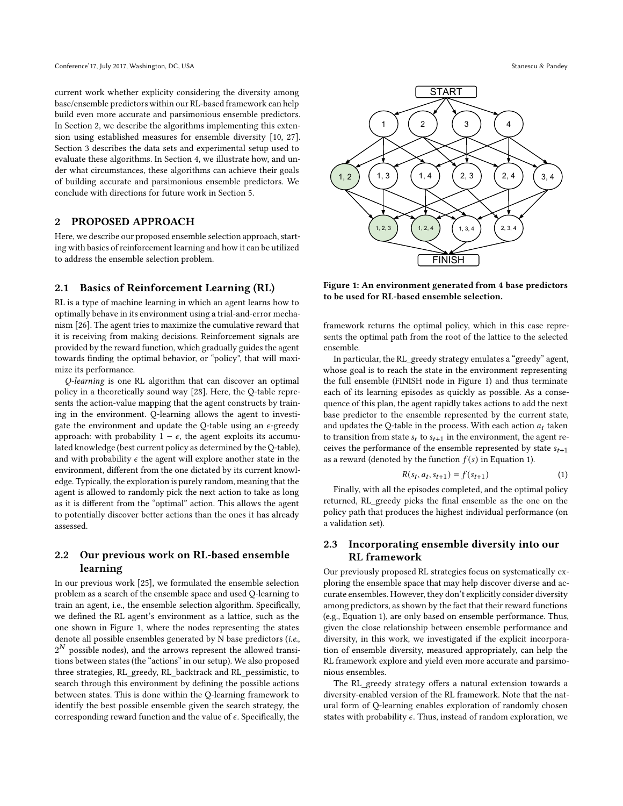current work whether explicity considering the diversity among base/ensemble predictors within our RL-based framework can help build even more accurate and parsimonious ensemble predictors. In Section 2, we describe the algorithms implementing this extension using established measures for ensemble diversity [\[10,](#page-8-10) [27](#page-8-23)]. Section 3 describes the data sets and experimental setup used to evaluate these algorithms. In Section 4, we illustrate how, and under what circumstances, these algorithms can achieve their goals of building accurate and parsimonious ensemble predictors. We conclude with directions for future work in Section 5.

#### 2 PROPOSED APPROACH

Here, we describe our proposed ensemble selection approach, starting with basics of reinforcement learning and how it can be utilized to address the ensemble selection problem.

# <span id="page-1-2"></span>2.1 Basics of Reinforcement Learning (RL)

RL is a type of machine learning in which an agent learns how to optimally behave in its environment using a trial-and-error mechanism [\[26](#page-8-22)]. The agent tries to maximize the cumulative reward that it is receiving from making decisions. Reinforcement signals are provided by the reward function, which gradually guides the agent towards finding the optimal behavior, or "policy", that will maximize its performance.

Q-learning is one RL algorithm that can discover an optimal policy in a theoretically sound way [\[28\]](#page-8-24). Here, the Q-table represents the action-value mapping that the agent constructs by training in the environment. Q-learning allows the agent to investigate the environment and update the Q-table using an  $\epsilon$ -greedy approach: with probability  $1 - \epsilon$ , the agent exploits its accumulated knowledge (best current policy as determined by the Q-table), and with probability  $\epsilon$  the agent will explore another state in the environment, different from the one dictated by its current knowledge. Typically, the exploration is purely random, meaning that the agent is allowed to randomly pick the next action to take as long as it is different from the "optimal" action. This allows the agent to potentially discover better actions than the ones it has already assessed.

## 2.2 Our previous work on RL-based ensemble learning

In our previous work [\[25\]](#page-8-17), we formulated the ensemble selection problem as a search of the ensemble space and used Q-learning to train an agent, i.e., the ensemble selection algorithm. Specifically, we defined the RL agent's environment as a lattice, such as the one shown in Figure [1,](#page-1-0) where the nodes representing the states denote all possible ensembles generated by N base predictors (i.e.,  $2^N$  possible nodes), and the arrows represent the allowed transitions between states (the "actions" in our setup). We also proposed three strategies, RL\_greedy, RL\_backtrack and RL\_pessimistic, to search through this environment by defining the possible actions between states. This is done within the Q-learning framework to identify the best possible ensemble given the search strategy, the corresponding reward function and the value of  $\epsilon$ . Specifically, the

<span id="page-1-0"></span>

Figure 1: An environment generated from 4 base predictors to be used for RL-based ensemble selection.

framework returns the optimal policy, which in this case represents the optimal path from the root of the lattice to the selected ensemble.

In particular, the RL\_greedy strategy emulates a "greedy" agent, whose goal is to reach the state in the environment representing the full ensemble (FINISH node in Figure [1\)](#page-1-0) and thus terminate each of its learning episodes as quickly as possible. As a consequence of this plan, the agent rapidly takes actions to add the next base predictor to the ensemble represented by the current state, and updates the Q-table in the process. With each action  $a_t$  taken to transition from state  $s_t$  to  $s_{t+1}$  in the environment, the agent receives the performance of the ensemble represented by state  $s_{t+1}$ as a reward (denoted by the function  $f(s)$  in Equation [1\)](#page-1-1).

<span id="page-1-1"></span>
$$
R(s_t, a_t, s_{t+1}) = f(s_{t+1})
$$
\n(1)

Finally, with all the episodes completed, and the optimal policy returned, RL\_greedy picks the final ensemble as the one on the policy path that produces the highest individual performance (on a validation set).

# 2.3 Incorporating ensemble diversity into our RL framework

Our previously proposed RL strategies focus on systematically exploring the ensemble space that may help discover diverse and accurate ensembles. However, they don't explicitly consider diversity among predictors, as shown by the fact that their reward functions (e.g., Equation [1\)](#page-1-1), are only based on ensemble performance. Thus, given the close relationship between ensemble performance and diversity, in this work, we investigated if the explicit incorporation of ensemble diversity, measured appropriately, can help the RL framework explore and yield even more accurate and parsimonious ensembles.

The RL\_greedy strategy offers a natural extension towards a diversity-enabled version of the RL framework. Note that the natural form of Q-learning enables exploration of randomly chosen states with probability  $\epsilon$ . Thus, instead of random exploration, we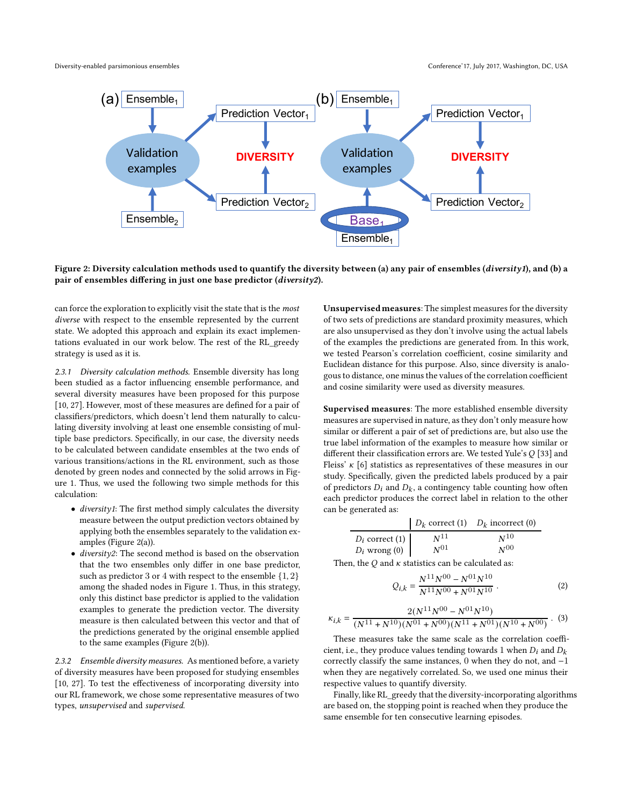<span id="page-2-0"></span>



Figure 2: Diversity calculation methods used to quantify the diversity between (a) any pair of ensembles (diversity1), and (b) a pair of ensembles differing in just one base predictor (diversity2).

can force the exploration to explicitly visit the state that is the most diverse with respect to the ensemble represented by the current state. We adopted this approach and explain its exact implementations evaluated in our work below. The rest of the RL\_greedy strategy is used as it is.

2.3.1 Diversity calculation methods. Ensemble diversity has long been studied as a factor influencing ensemble performance, and several diversity measures have been proposed for this purpose [\[10](#page-8-10), [27\]](#page-8-23). However, most of these measures are defined for a pair of classifiers/predictors, which doesn't lend them naturally to calculating diversity involving at least one ensemble consisting of multiple base predictors. Specifically, in our case, the diversity needs to be calculated between candidate ensembles at the two ends of various transitions/actions in the RL environment, such as those denoted by green nodes and connected by the solid arrows in Figure [1.](#page-1-0) Thus, we used the following two simple methods for this calculation:

- diversity1: The first method simply calculates the diversity measure between the output prediction vectors obtained by applying both the ensembles separately to the validation examples (Figure [2\(](#page-2-0)a)).
- diversity2: The second method is based on the observation that the two ensembles only differ in one base predictor, such as predictor 3 or 4 with respect to the ensemble  $\{1, 2\}$ among the shaded nodes in Figure [1.](#page-1-0) Thus, in this strategy, only this distinct base predictor is applied to the validation examples to generate the prediction vector. The diversity measure is then calculated between this vector and that of the predictions generated by the original ensemble applied to the same examples (Figure [2\(](#page-2-0)b)).

2.3.2 Ensemble diversity measures. As mentioned before, a variety of diversity measures have been proposed for studying ensembles [\[10](#page-8-10), [27\]](#page-8-23). To test the effectiveness of incorporating diversity into our RL framework, we chose some representative measures of two types, unsupervised and supervised.

Unsupervisedmeasures: The simplest measures for the diversity of two sets of predictions are standard proximity measures, which are also unsupervised as they don't involve using the actual labels of the examples the predictions are generated from. In this work, we tested Pearson's correlation coefficient, cosine similarity and Euclidean distance for this purpose. Also, since diversity is analogous to distance, one minus the values of the correlation coefficient and cosine similarity were used as diversity measures.

Supervised measures: The more established ensemble diversity measures are supervised in nature, as they don't only measure how similar or different a pair of set of predictions are, but also use the true label information of the examples to measure how similar or different their classification errors are. We tested Yule's  $Q$  [\[33\]](#page-8-25) and Fleiss'  $\kappa$  [\[6](#page-8-9)] statistics as representatives of these measures in our study. Specifically, given the predicted labels produced by a pair of predictors  $D_i$  and  $D_k$ , a contingency table counting how often each predictor produces the correct label in relation to the other can be generated as:

|                   |          | $D_k$ correct (1) $D_k$ incorrect (0) |
|-------------------|----------|---------------------------------------|
| $D_i$ correct (1) | $N^{11}$ | $N^{10}$                              |
| $D_i$ wrong $(0)$ | $N^{01}$ | $N^{00}$                              |

Then, the  $Q$  and  $\kappa$  statistics can be calculated as:

$$
Q_{i,k} = \frac{N^{11}N^{00} - N^{01}N^{10}}{N^{11}N^{00} + N^{01}N^{10}}.
$$
 (2)

$$
\kappa_{i,k} = \frac{2(N^{11}N^{00} - N^{01}N^{10})}{(N^{11} + N^{10})(N^{01} + N^{00})(N^{11} + N^{01})(N^{10} + N^{00})}.
$$
 (3)

These measures take the same scale as the correlation coefficient, i.e., they produce values tending towards 1 when  $D_i$  and  $D_k$ correctly classify the same instances, 0 when they do not, and −1 when they are negatively correlated. So, we used one minus their respective values to quantify diversity.

Finally, like RL\_greedy that the diversity-incorporating algorithms are based on, the stopping point is reached when they produce the same ensemble for ten consecutive learning episodes.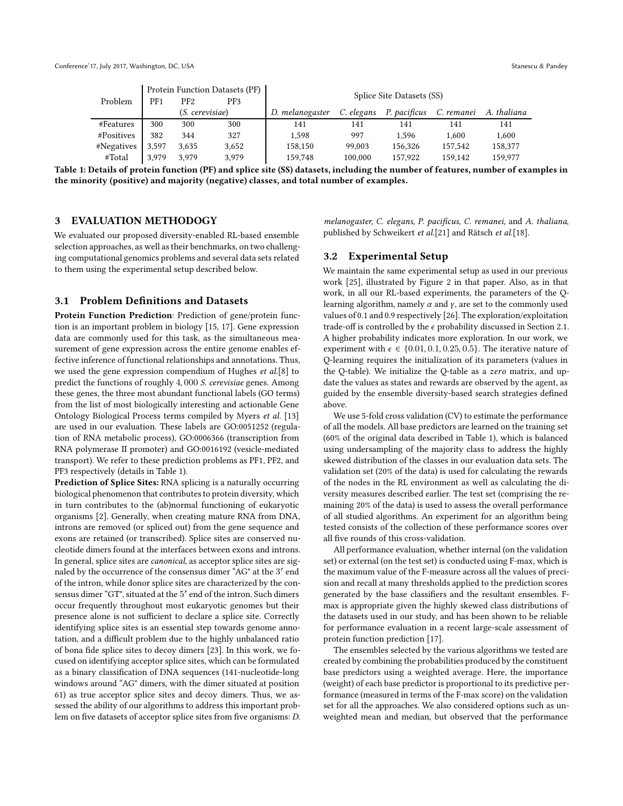<span id="page-3-0"></span>

|            | Protein Function Datasets (PF) |                 |       |                           |            |              |            |             |
|------------|--------------------------------|-----------------|-------|---------------------------|------------|--------------|------------|-------------|
| Problem    | PF1                            | PF <sub>2</sub> | PF3   | Splice Site Datasets (SS) |            |              |            |             |
|            | (S. cerevisiae)                |                 |       | D. melanogaster           | C. elegans | P. pacificus | C. remanei | A. thaliana |
| #Features  | 300                            | 300             | 300   | 141                       | 141        | 141          | 141        | 141         |
| #Positives | 382                            | 344             | 327   | 1.598                     | 997        | 1.596        | 1.600      | 1,600       |
| #Negatives | 3,597                          | 3.635           | 3.652 | 158,150                   | 99,003     | 156.326      | 157,542    | 158.377     |
| #Total     | 3.979                          | 3.979           | 3,979 | 159,748                   | 100,000    | 157.922      | 159,142    | 159,977     |

Table 1: Details of protein function (PF) and splice site (SS) datasets, including the number of features, number of examples in the minority (positive) and majority (negative) classes, and total number of examples.

#### <span id="page-3-1"></span>3 EVALUATION METHODOGY

We evaluated our proposed diversity-enabled RL-based ensemble selection approaches, as well as their benchmarks, on two challenging computational genomics problems and several data sets related to them using the experimental setup described below.

### 3.1 Problem Definitions and Datasets

Protein Function Prediction: Prediction of gene/protein function is an important problem in biology [\[15](#page-8-20), [17\]](#page-8-21). Gene expression data are commonly used for this task, as the simultaneous measurement of gene expression across the entire genome enables effective inference of functional relationships and annotations. Thus, we used the gene expression compendium of Hughes et al.[\[8\]](#page-8-26) to predict the functions of roughly 4, 000 S. cerevisiae genes. Among these genes, the three most abundant functional labels (GO terms) from the list of most biologically interesting and actionable Gene Ontology Biological Process terms compiled by Myers et al. [\[13\]](#page-8-27) are used in our evaluation. These labels are GO:0051252 (regulation of RNA metabolic process), GO:0006366 (transcription from RNA polymerase II promoter) and GO:0016192 (vesicle-mediated transport). We refer to these prediction problems as PF1, PF2, and PF3 respectively (details in Table [1\)](#page-3-0).

Prediction of Splice Sites: RNA splicing is a naturally occurring biological phenomenon that contributes to protein diversity, which in turn contributes to the (ab)normal functioning of eukaryotic organisms [\[2\]](#page-8-28). Generally, when creating mature RNA from DNA, introns are removed (or spliced out) from the gene sequence and exons are retained (or transcribed). Splice sites are conserved nucleotide dimers found at the interfaces between exons and introns. In general, splice sites are canonical, as acceptor splice sites are signaled by the occurrence of the consensus dimer "AG" at the 3 ′ end of the intron, while donor splice sites are characterized by the consensus dimer "GT", situated at the 5' end of the intron. Such dimers occur frequently throughout most eukaryotic genomes but their presence alone is not sufficient to declare a splice site. Correctly identifying splice sites is an essential step towards genome annotation, and a difficult problem due to the highly unbalanced ratio of bona fide splice sites to decoy dimers [\[23\]](#page-8-29). In this work, we focused on identifying acceptor splice sites, which can be formulated as a binary classification of DNA sequences (141-nucleotide-long windows around "AG" dimers, with the dimer situated at position 61) as true acceptor splice sites and decoy dimers. Thus, we assessed the ability of our algorithms to address this important problem on five datasets of acceptor splice sites from five organisms: D.

melanogaster, C. elegans, P. pacificus, C. remanei, and A. thaliana, published by Schweikert et al.[\[21\]](#page-8-30) and Rätsch et al.[\[18\]](#page-8-31).

## 3.2 Experimental Setup

We maintain the same experimental setup as used in our previous work [\[25\]](#page-8-17), illustrated by Figure 2 in that paper. Also, as in that work, in all our RL-based experiments, the parameters of the Qlearning algorithm, namely  $\alpha$  and  $\gamma$ , are set to the commonly used values of 0.1 and 0.9 respectively [\[26](#page-8-22)]. The exploration/exploitation trade-off is controlled by the  $\epsilon$  probability discussed in Section [2.1.](#page-1-2) A higher probability indicates more exploration. In our work, we experiment with  $\epsilon \in \{0.01, 0.1, 0.25, 0.5\}$ . The iterative nature of Q-learning requires the initialization of its parameters (values in the Q-table). We initialize the Q-table as a zero matrix, and update the values as states and rewards are observed by the agent, as guided by the ensemble diversity-based search strategies defined above.

We use 5-fold cross validation (CV) to estimate the performance of all the models. All base predictors are learned on the training set (60% of the original data described in Table [1\)](#page-3-0), which is balanced using undersampling of the majority class to address the highly skewed distribution of the classes in our evaluation data sets. The validation set (20% of the data) is used for calculating the rewards of the nodes in the RL environment as well as calculating the diversity measures described earlier. The test set (comprising the remaining 20% of the data) is used to assess the overall performance of all studied algorithms. An experiment for an algorithm being tested consists of the collection of these performance scores over all five rounds of this cross-validation.

All performance evaluation, whether internal (on the validation set) or external (on the test set) is conducted using F-max, which is the maximum value of the F-measure across all the values of precision and recall at many thresholds applied to the prediction scores generated by the base classifiers and the resultant ensembles. Fmax is appropriate given the highly skewed class distributions of the datasets used in our study, and has been shown to be reliable for performance evaluation in a recent large-scale assessment of protein function prediction [\[17](#page-8-21)].

The ensembles selected by the various algorithms we tested are created by combining the probabilities produced by the constituent base predictors using a weighted average. Here, the importance (weight) of each base predictor is proportional to its predictive performance (measured in terms of the F-max score) on the validation set for all the approaches. We also considered options such as unweighted mean and median, but observed that the performance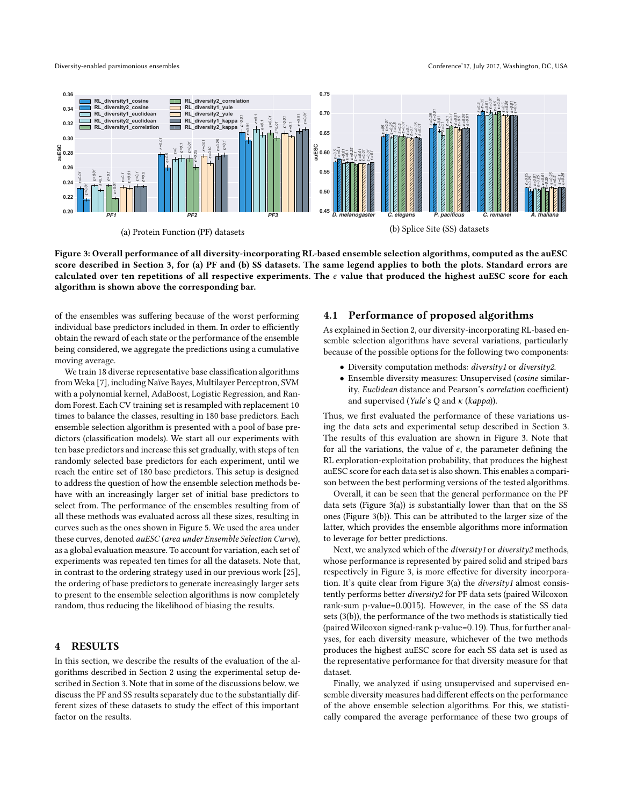<span id="page-4-0"></span>



Figure 3: Overall performance of all diversity-incorporating RL-based ensemble selection algorithms, computed as the auESC score described in Section [3,](#page-3-1) for (a) PF and (b) SS datasets. The same legend applies to both the plots. Standard errors are calculated over ten repetitions of all respective experiments. The  $\epsilon$  value that produced the highest auESC score for each algorithm is shown above the corresponding bar.

of the ensembles was suffering because of the worst performing individual base predictors included in them. In order to efficiently obtain the reward of each state or the performance of the ensemble being considered, we aggregate the predictions using a cumulative moving average.

We train 18 diverse representative base classification algorithms from Weka [\[7](#page-8-32)], including Naïve Bayes, Multilayer Perceptron, SVM with a polynomial kernel, AdaBoost, Logistic Regression, and Random Forest. Each CV training set is resampled with replacement 10 times to balance the classes, resulting in 180 base predictors. Each ensemble selection algorithm is presented with a pool of base predictors (classification models). We start all our experiments with ten base predictors and increase this set gradually, with steps of ten randomly selected base predictors for each experiment, until we reach the entire set of 180 base predictors. This setup is designed to address the question of how the ensemble selection methods behave with an increasingly larger set of initial base predictors to select from. The performance of the ensembles resulting from of all these methods was evaluated across all these sizes, resulting in curves such as the ones shown in Figure [5.](#page-6-0) We used the area under these curves, denoted auESC (area under Ensemble Selection Curve), as a global evaluation measure. To account for variation, each set of experiments was repeated ten times for all the datasets. Note that, in contrast to the ordering strategy used in our previous work [\[25\]](#page-8-17), the ordering of base predictors to generate increasingly larger sets to present to the ensemble selection algorithms is now completely random, thus reducing the likelihood of biasing the results.

### 4 RESULTS

In this section, we describe the results of the evaluation of the algorithms described in Section 2 using the experimental setup described in Section 3. Note that in some of the discussions below, we discuss the PF and SS results separately due to the substantially different sizes of these datasets to study the effect of this important factor on the results.

#### 4.1 Performance of proposed algorithms

As explained in Section 2, our diversity-incorporating RL-based ensemble selection algorithms have several variations, particularly because of the possible options for the following two components:

- Diversity computation methods: diversity1 or diversity2.
- Ensemble diversity measures: Unsupervised (cosine similarity, Euclidean distance and Pearson's correlation coefficient) and supervised (Yule's  $Q$  and  $\kappa$  (kappa)).

Thus, we first evaluated the performance of these variations using the data sets and experimental setup described in Section 3. The results of this evaluation are shown in Figure [3.](#page-4-0) Note that for all the variations, the value of  $\epsilon$ , the parameter defining the RL exploration-exploitation probability, that produces the highest auESC score for each data set is also shown. This enables a comparison between the best performing versions of the tested algorithms.

Overall, it can be seen that the general performance on the PF data sets (Figure [3\(](#page-4-0)a)) is substantially lower than that on the SS ones (Figure [3\(](#page-4-0)b)). This can be attributed to the larger size of the latter, which provides the ensemble algorithms more information to leverage for better predictions.

Next, we analyzed which of the *diversity1* or *diversity2* methods, whose performance is represented by paired solid and striped bars respectively in Figure [3,](#page-4-0) is more effective for diversity incorporation. It's quite clear from Figure [3\(](#page-4-0)a) the diversity1 almost consistently performs better diversity2 for PF data sets (paired Wilcoxon rank-sum p-value=0.0015). However, in the case of the SS data sets [\(3\(](#page-4-0)b)), the performance of the two methods is statistically tied (paired Wilcoxon signed-rank p-value=0.19). Thus, for further analyses, for each diversity measure, whichever of the two methods produces the highest auESC score for each SS data set is used as the representative performance for that diversity measure for that dataset.

Finally, we analyzed if using unsupervised and supervised ensemble diversity measures had different effects on the performance of the above ensemble selection algorithms. For this, we statistically compared the average performance of these two groups of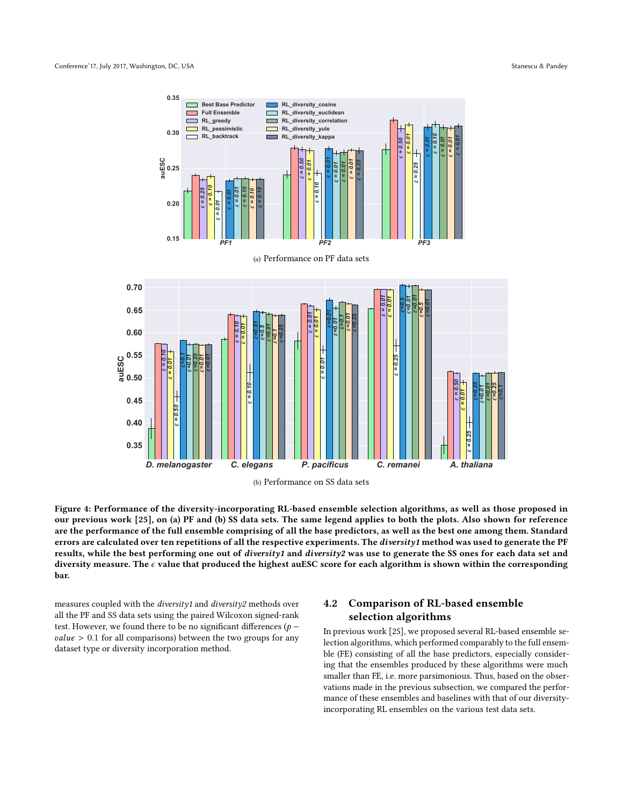<span id="page-5-0"></span>



Figure 4: Performance of the diversity-incorporating RL-based ensemble selection algorithms, as well as those proposed in our previous work [\[25](#page-8-17)], on (a) PF and (b) SS data sets. The same legend applies to both the plots. Also shown for reference are the performance of the full ensemble comprising of all the base predictors, as well as the best one among them. Standard errors are calculated over ten repetitions of all the respective experiments. The diversity1 method was used to generate the PF results, while the best performing one out of diversity1 and diversity2 was use to generate the SS ones for each data set and diversity measure. The  $\epsilon$  value that produced the highest auESC score for each algorithm is shown within the corresponding bar.

measures coupled with the diversity1 and diversity2 methods over all the PF and SS data sets using the paired Wilcoxon signed-rank test. However, we found there to be no significant differences ( $p$  $value > 0.1$  for all comparisons) between the two groups for any dataset type or diversity incorporation method.

# 4.2 Comparison of RL-based ensemble selection algorithms

In previous work [\[25\]](#page-8-17), we proposed several RL-based ensemble selection algorithms, which performed comparably to the full ensemble (FE) consisting of all the base predictors, especially considering that the ensembles produced by these algorithms were much smaller than FE, i.e. more parsimonious. Thus, based on the observations made in the previous subsection, we compared the performance of these ensembles and baselines with that of our diversityincorporating RL ensembles on the various test data sets.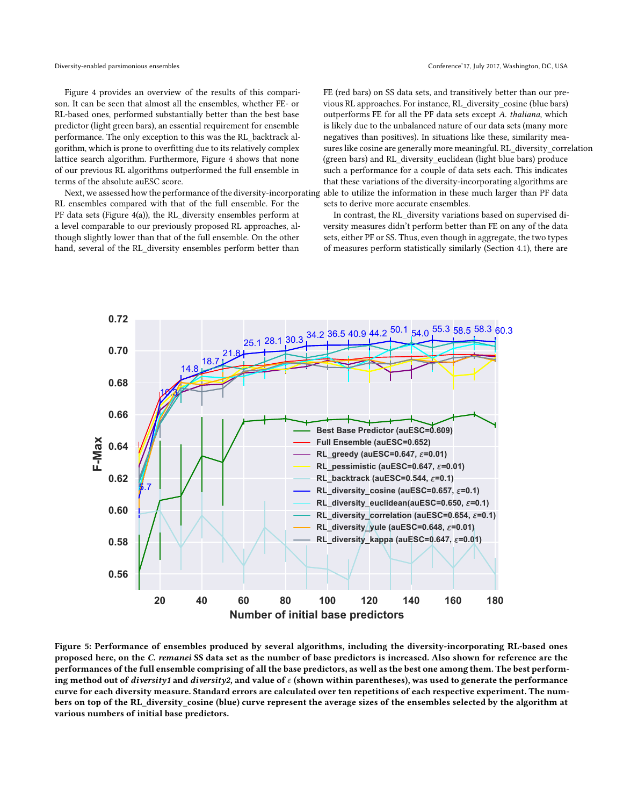Figure [4](#page-5-0) provides an overview of the results of this comparison. It can be seen that almost all the ensembles, whether FE- or RL-based ones, performed substantially better than the best base predictor (light green bars), an essential requirement for ensemble performance. The only exception to this was the RL\_backtrack algorithm, which is prone to overfitting due to its relatively complex lattice search algorithm. Furthermore, Figure [4](#page-5-0) shows that none of our previous RL algorithms outperformed the full ensemble in terms of the absolute auESC score.

RL ensembles compared with that of the full ensemble. For the PF data sets (Figure [4\(](#page-5-0)a)), the RL diversity ensembles perform at a level comparable to our previously proposed RL approaches, although slightly lower than that of the full ensemble. On the other hand, several of the RL\_diversity ensembles perform better than

Next, we assessed how the performance of the diversity-incorporating able to utilize the information in these much larger than PF data FE (red bars) on SS data sets, and transitively better than our previous RL approaches. For instance, RL\_diversity\_cosine (blue bars) outperforms FE for all the PF data sets except A. thaliana, which is likely due to the unbalanced nature of our data sets (many more negatives than positives). In situations like these, similarity measures like cosine are generally more meaningful. RL\_diversity\_correlation (green bars) and RL\_diversity\_euclidean (light blue bars) produce such a performance for a couple of data sets each. This indicates that these variations of the diversity-incorporating algorithms are sets to derive more accurate ensembles.

> In contrast, the RL\_diversity variations based on supervised diversity measures didn't perform better than FE on any of the data sets, either PF or SS. Thus, even though in aggregate, the two types of measures perform statistically similarly (Section 4.1), there are

<span id="page-6-0"></span>

Figure 5: Performance of ensembles produced by several algorithms, including the diversity-incorporating RL-based ones proposed here, on the C. remanei SS data set as the number of base predictors is increased. Also shown for reference are the performances of the full ensemble comprising of all the base predictors, as well as the best one among them. The best performing method out of *diversity1* and *diversity2*, and value of  $\epsilon$  (shown within parentheses), was used to generate the performance curve for each diversity measure. Standard errors are calculated over ten repetitions of each respective experiment. The numbers on top of the RL\_diversity\_cosine (blue) curve represent the average sizes of the ensembles selected by the algorithm at various numbers of initial base predictors.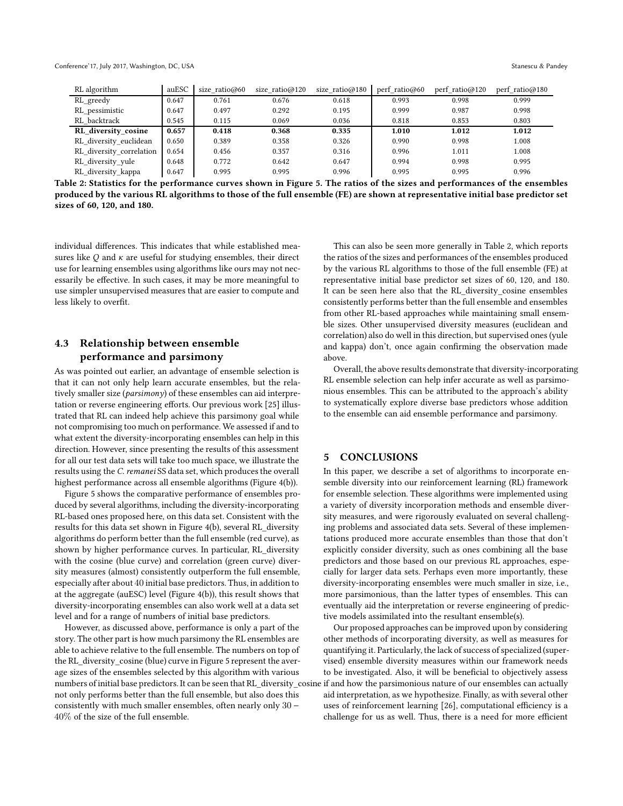<span id="page-7-0"></span>Conference'17, July 2017, Washington, DC, USA Stanescu & Pandey

| RL algorithm             | auESC | size ratio $@60$ | size $ratio@120$ | size ratio $@180$ | perf ratio $@60$ | perf ratio $@120$ | perf ratio $@180$ |
|--------------------------|-------|------------------|------------------|-------------------|------------------|-------------------|-------------------|
| RL_greedy                | 0.647 | 0.761            | 0.676            | 0.618             | 0.993            | 0.998             | 0.999             |
| RL pessimistic           | 0.647 | 0.497            | 0.292            | 0.195             | 0.999            | 0.987             | 0.998             |
| RL backtrack             | 0.545 | 0.115            | 0.069            | 0.036             | 0.818            | 0.853             | 0.803             |
| RL diversity cosine      | 0.657 | 0.418            | 0.368            | 0.335             | 1.010            | 1.012             | 1.012             |
| RL diversity euclidean   | 0.650 | 0.389            | 0.358            | 0.326             | 0.990            | 0.998             | 1.008             |
| RL diversity correlation | 0.654 | 0.456            | 0.357            | 0.316             | 0.996            | 1.011             | 1.008             |
| RL diversity yule        | 0.648 | 0.772            | 0.642            | 0.647             | 0.994            | 0.998             | 0.995             |
| RL_diversity_kappa       | 0.647 | 0.995            | 0.995            | 0.996             | 0.995            | 0.995             | 0.996             |

Table 2: Statistics for the performance curves shown in Figure [5.](#page-6-0) The ratios of the sizes and performances of the ensembles produced by the various RL algorithms to those of the full ensemble (FE) are shown at representative initial base predictor set sizes of 60, 120, and 180.

individual differences. This indicates that while established measures like  $Q$  and  $\kappa$  are useful for studying ensembles, their direct use for learning ensembles using algorithms like ours may not necessarily be effective. In such cases, it may be more meaningful to use simpler unsupervised measures that are easier to compute and less likely to overfit.

# 4.3 Relationship between ensemble performance and parsimony

As was pointed out earlier, an advantage of ensemble selection is that it can not only help learn accurate ensembles, but the relatively smaller size (parsimony) of these ensembles can aid interpretation or reverse engineering efforts. Our previous work [\[25\]](#page-8-17) illustrated that RL can indeed help achieve this parsimony goal while not compromising too much on performance. We assessed if and to what extent the diversity-incorporating ensembles can help in this direction. However, since presenting the results of this assessment for all our test data sets will take too much space, we illustrate the results using the C. remanei SS data set, which produces the overall highest performance across all ensemble algorithms (Figure [4\(](#page-5-0)b)).

Figure [5](#page-6-0) shows the comparative performance of ensembles produced by several algorithms, including the diversity-incorporating RL-based ones proposed here, on this data set. Consistent with the results for this data set shown in Figure [4\(](#page-5-0)b), several RL\_diversity algorithms do perform better than the full ensemble (red curve), as shown by higher performance curves. In particular, RL\_diversity with the cosine (blue curve) and correlation (green curve) diversity measures (almost) consistently outperform the full ensemble, especially after about 40 initial base predictors. Thus, in addition to at the aggregate (auESC) level (Figure [4\(](#page-5-0)b)), this result shows that diversity-incorporating ensembles can also work well at a data set level and for a range of numbers of initial base predictors.

However, as discussed above, performance is only a part of the story. The other part is how much parsimony the RL ensembles are able to achieve relative to the full ensemble. The numbers on top of the RL\_diversity\_cosine (blue) curve in Figure [5](#page-6-0) represent the average sizes of the ensembles selected by this algorithm with various numbers of initial base predictors. It can be seen that RL\_diversity\_cosine if and how the parsimonious nature of our ensembles can actually not only performs better than the full ensemble, but also does this consistently with much smaller ensembles, often nearly only 30 − 40% of the size of the full ensemble.

This can also be seen more generally in Table [2,](#page-7-0) which reports the ratios of the sizes and performances of the ensembles produced by the various RL algorithms to those of the full ensemble (FE) at representative initial base predictor set sizes of 60, 120, and 180. It can be seen here also that the RL\_diversity\_cosine ensembles consistently performs better than the full ensemble and ensembles from other RL-based approaches while maintaining small ensemble sizes. Other unsupervised diversity measures (euclidean and correlation) also do well in this direction, but supervised ones (yule and kappa) don't, once again confirming the observation made above.

Overall, the above results demonstrate that diversity-incorporating RL ensemble selection can help infer accurate as well as parsimonious ensembles. This can be attributed to the approach's ability to systematically explore diverse base predictors whose addition to the ensemble can aid ensemble performance and parsimony.

#### 5 CONCLUSIONS

In this paper, we describe a set of algorithms to incorporate ensemble diversity into our reinforcement learning (RL) framework for ensemble selection. These algorithms were implemented using a variety of diversity incorporation methods and ensemble diversity measures, and were rigorously evaluated on several challenging problems and associated data sets. Several of these implementations produced more accurate ensembles than those that don't explicitly consider diversity, such as ones combining all the base predictors and those based on our previous RL approaches, especially for larger data sets. Perhaps even more importantly, these diversity-incorporating ensembles were much smaller in size, i.e., more parsimonious, than the latter types of ensembles. This can eventually aid the interpretation or reverse engineering of predictive models assimilated into the resultant ensemble(s).

Our proposed approaches can be improved upon by considering other methods of incorporating diversity, as well as measures for quantifying it. Particularly, the lack of success of specialized (supervised) ensemble diversity measures within our framework needs to be investigated. Also, it will be beneficial to objectively assess aid interpretation, as we hypothesize. Finally, as with several other uses of reinforcement learning [\[26\]](#page-8-22), computational efficiency is a challenge for us as well. Thus, there is a need for more efficient